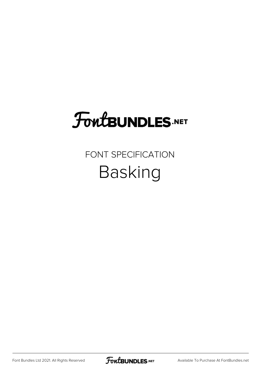### FoutBUNDLES.NET

#### FONT SPECIFICATION Basking

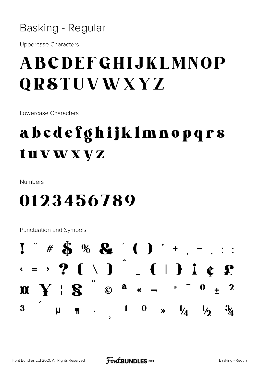#### Basking - Regular

**Uppercase Characters** 

### **ABCDEFGHLJKLMNOP QRSTUVWXYZ**

Lowercase Characters

### abcdefghijklmnopqrs tuvwxyz

Numbers

#### 0123456789

Punctuation and Symbols

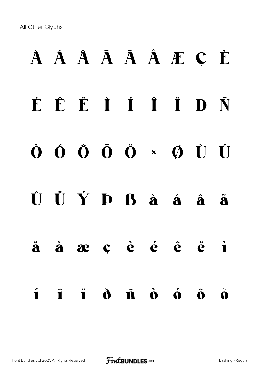All Other Glyphs

### À Á Â Ã Ä Å Æ Ç È É Ê Ë Ì Í Î Ï Ð Ñ Ò Ó Ô Õ Ö × Ø Ù Ú Û Ü Ý Þ ß à á â ã ä å æ ç è é ê ë ì í î ï ð ñ ò ó ô õ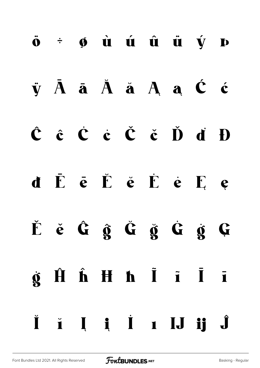# $\ddot{\mathbf{o}}$   $\div$   $\mathbf{\phi}$   $\dot{\mathbf{u}}$   $\dot{\mathbf{u}}$   $\dot{\mathbf{u}}$   $\dot{\mathbf{u}}$   $\dot{\mathbf{v}}$   $\mathbf{p}$  $\ddot{v}$   $\ddot{A}$   $\ddot{a}$   $\ddot{A}$   $\ddot{a}$   $A$   $\ddot{a}$   $\dot{C}$   $\dot{c}$  $\hat{C}$   $\hat{c}$   $\hat{C}$   $\hat{c}$   $\hat{C}$   $\hat{c}$   $\hat{D}$   $\hat{d}$   $\hat{D}$ d ĒēĔě Ėė Ee Ěě Ĝ ĝ Ĝ ğ Ġ ġ Ģ  $\dot{\mathbf{g}}$   $\hat{\mathbf{H}}$   $\hat{\mathbf{h}}$   $\mathbf{H}$   $\mathbf{h}$   $\tilde{\mathbf{I}}$   $\tilde{\mathbf{I}}$   $\tilde{\mathbf{I}}$ Ĭ ĭ I i I I J ij Ĵ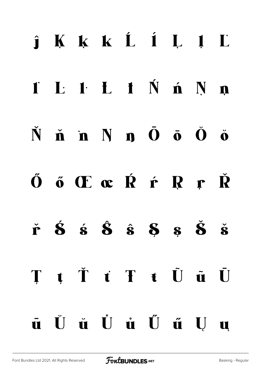# $j$  K k k  $L$   $i$  L  $l$  L I L l L I Ń ń N n  $\dot{N}$   $\dot{\mathbf{n}}$   $\dot{\mathbf{n}}$   $N$   $\mathbf{n}$   $\ddot{\mathbf{0}}$   $\ddot{\mathbf{o}}$   $\ddot{\mathbf{0}}$   $\ddot{\mathbf{o}}$ ŐőŒœŔŕŖŗŘ  $\check{\mathbf{r}}$   $\acute{\mathbf{S}}$   $\acute{\mathbf{s}}$   $\hat{\mathbf{S}}$   $\acute{\mathbf{s}}$   $\acute{\mathbf{S}}$   $\acute{\mathbf{s}}$   $\acute{\mathbf{s}}$   $\acute{\mathbf{s}}$ T t Ť t T t Ũ ũ Ū  $\bar{\mathbf{u}}$  Ü  $\dot{\mathbf{u}}$  Ü  $\dot{\mathbf{u}}$  Ü  $\tilde{\mathbf{u}}$  U  $\mathbf{u}$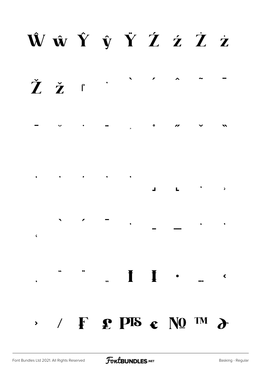### ŴŵŶŷŸŹźŻż

 $\overline{\phantom{a}}$ Žž

 $\bullet$  $\overline{\mathbf{v}}$ 

 $\mathcal{A}^{\text{max}}$  , and  $\mathcal{A}^{\text{max}}$ 

 $\sim$   $\sim$  $\overline{a}$  $\mathbf{L}$ 

 $\mathcal{F} \qquad \qquad \mathcal{F} \qquad \qquad \mathcal{F}$  $\epsilon$ 

 $\mathcal{L}$  /  $\mathbf{F}$   $\mathbf{P}$   $\mathbf{P}$   $\mathbf{F}$   $\mathbf{C}$   $\mathbf{N}$   $\mathbf{Q}$   $\mathbf{M}$   $\mathbf{D}$ 

 $\begin{array}{ccccc}\n\cdot & \cdot & \cdot & \cdot & \cdot \\
\end{array}$ 

 $\left\langle \right\rangle$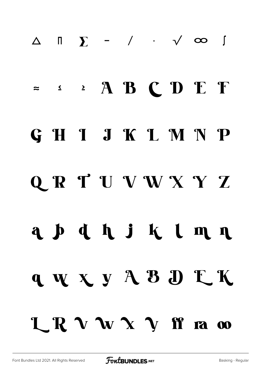# ∆ ∏ ∑ − ∕ ∙ √ ∞ ∫ ≈ ≤ ≥ A B C D E F GHIJKLMNP Q R T U V W X Y Z a p d h j k l m n q w x y A B D L K LRVWXYff ra co